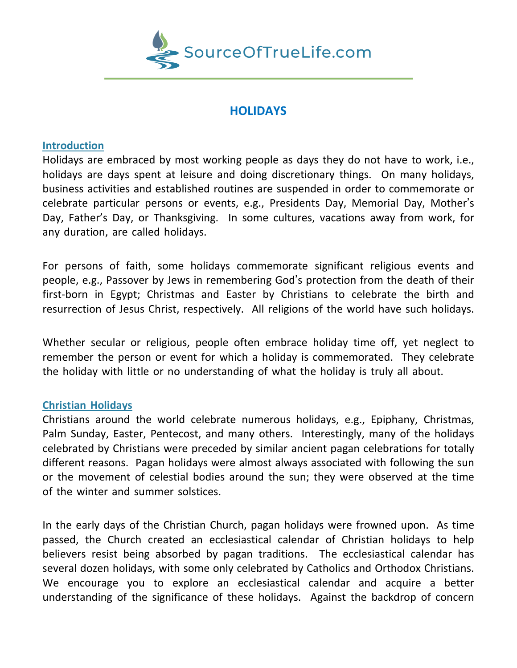

# **HOLIDAYS**

### **Introduction**

Holidays are embraced by most working people as days they do not have to work, i.e., holidays are days spent at leisure and doing discretionary things. On many holidays, business activities and established routines are suspended in order to commemorate or celebrate particular persons or events, e.g., Presidents Day, Memorial Day, Mother's Day, Father's Day, or Thanksgiving. In some cultures, vacations away from work, for any duration, are called holidays.

For persons of faith, some holidays commemorate significant religious events and people, e.g., Passover by Jews in remembering God's protection from the death of their first-born in Egypt; Christmas and Easter by Christians to celebrate the birth and resurrection of Jesus Christ, respectively. All religions of the world have such holidays.

Whether secular or religious, people often embrace holiday time off, yet neglect to remember the person or event for which a holiday is commemorated. They celebrate the holiday with little or no understanding of what the holiday is truly all about.

### **Christian Holidays**

Christians around the world celebrate numerous holidays, e.g., Epiphany, Christmas, Palm Sunday, Easter, Pentecost, and many others. Interestingly, many of the holidays celebrated by Christians were preceded by similar ancient pagan celebrations for totally different reasons. Pagan holidays were almost always associated with following the sun or the movement of celestial bodies around the sun; they were observed at the time of the winter and summer solstices.

In the early days of the Christian Church, pagan holidays were frowned upon. As time passed, the Church created an ecclesiastical calendar of Christian holidays to help believers resist being absorbed by pagan traditions. The ecclesiastical calendar has several dozen holidays, with some only celebrated by Catholics and Orthodox Christians. We encourage you to explore an ecclesiastical calendar and acquire a better understanding of the significance of these holidays. Against the backdrop of concern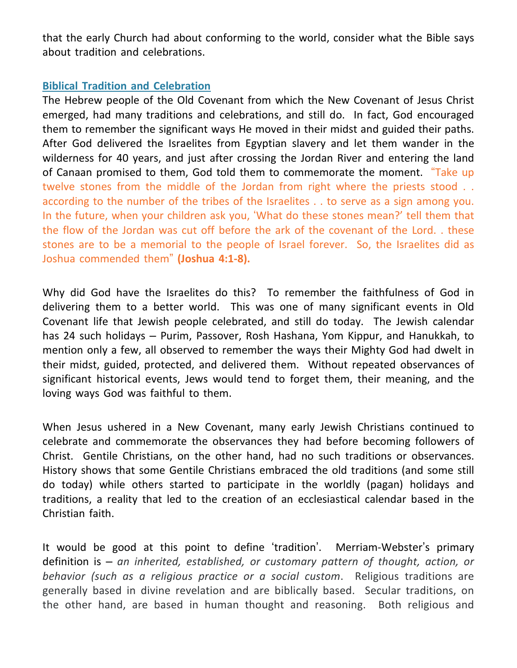that the early Church had about conforming to the world, consider what the Bible says about tradition and celebrations.

## **Biblical Tradition and Celebration**

The Hebrew people of the Old Covenant from which the New Covenant of Jesus Christ emerged, had many traditions and celebrations, and still do. In fact, God encouraged them to remember the significant ways He moved in their midst and guided their paths. After God delivered the Israelites from Egyptian slavery and let them wander in the wilderness for 40 years, and just after crossing the Jordan River and entering the land of Canaan promised to them, God told them to commemorate the moment. "Take up twelve stones from the middle of the Jordan from right where the priests stood . . according to the number of the tribes of the Israelites . . to serve as a sign among you. In the future, when your children ask you, 'What do these stones mean?' tell them that the flow of the Jordan was cut off before the ark of the covenant of the Lord. . these stones are to be a memorial to the people of Israel forever. So, the Israelites did as Joshua commended them" **(Joshua 4:1-8).**

Why did God have the Israelites do this? To remember the faithfulness of God in delivering them to a better world. This was one of many significant events in Old Covenant life that Jewish people celebrated, and still do today. The Jewish calendar has 24 such holidays – Purim, Passover, Rosh Hashana, Yom Kippur, and Hanukkah, to mention only a few, all observed to remember the ways their Mighty God had dwelt in their midst, guided, protected, and delivered them. Without repeated observances of significant historical events, Jews would tend to forget them, their meaning, and the loving ways God was faithful to them.

When Jesus ushered in a New Covenant, many early Jewish Christians continued to celebrate and commemorate the observances they had before becoming followers of Christ. Gentile Christians, on the other hand, had no such traditions or observances. History shows that some Gentile Christians embraced the old traditions (and some still do today) while others started to participate in the worldly (pagan) holidays and traditions, a reality that led to the creation of an ecclesiastical calendar based in the Christian faith.

It would be good at this point to define 'tradition'. Merriam-Webster's primary definition is – *an inherited, established, or customary pattern of thought, action, or behavior (such as a religious practice or a social custom*. Religious traditions are generally based in divine revelation and are biblically based. Secular traditions, on the other hand, are based in human thought and reasoning. Both religious and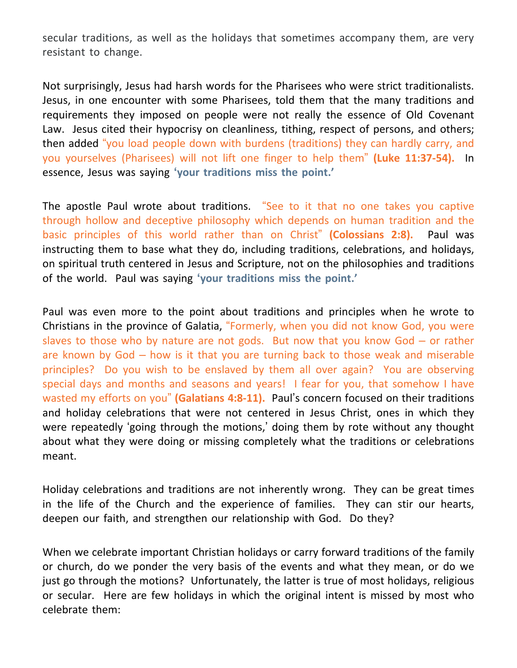secular traditions, as well as the holidays that sometimes accompany them, are very resistant to change.

Not surprisingly, Jesus had harsh words for the Pharisees who were strict traditionalists. Jesus, in one encounter with some Pharisees, told them that the many traditions and requirements they imposed on people were not really the essence of Old Covenant Law. Jesus cited their hypocrisy on cleanliness, tithing, respect of persons, and others; then added "you load people down with burdens (traditions) they can hardly carry, and you yourselves (Pharisees) will not lift one finger to help them" **(Luke 11:37-54).** In essence, Jesus was saying **'your traditions miss the point.'**

The apostle Paul wrote about traditions. "See to it that no one takes you captive through hollow and deceptive philosophy which depends on human tradition and the basic principles of this world rather than on Christ" **(Colossians 2:8).** Paul was instructing them to base what they do, including traditions, celebrations, and holidays, on spiritual truth centered in Jesus and Scripture, not on the philosophies and traditions of the world. Paul was saying **'your traditions miss the point.'**

Paul was even more to the point about traditions and principles when he wrote to Christians in the province of Galatia, "Formerly, when you did not know God, you were slaves to those who by nature are not gods. But now that you know God  $-$  or rather are known by God – how is it that you are turning back to those weak and miserable principles? Do you wish to be enslaved by them all over again? You are observing special days and months and seasons and years! I fear for you, that somehow I have wasted my efforts on you" **(Galatians 4:8-11).** Paul's concern focused on their traditions and holiday celebrations that were not centered in Jesus Christ, ones in which they were repeatedly 'going through the motions,' doing them by rote without any thought about what they were doing or missing completely what the traditions or celebrations meant.

Holiday celebrations and traditions are not inherently wrong. They can be great times in the life of the Church and the experience of families. They can stir our hearts, deepen our faith, and strengthen our relationship with God. Do they?

When we celebrate important Christian holidays or carry forward traditions of the family or church, do we ponder the very basis of the events and what they mean, or do we just go through the motions? Unfortunately, the latter is true of most holidays, religious or secular. Here are few holidays in which the original intent is missed by most who celebrate them: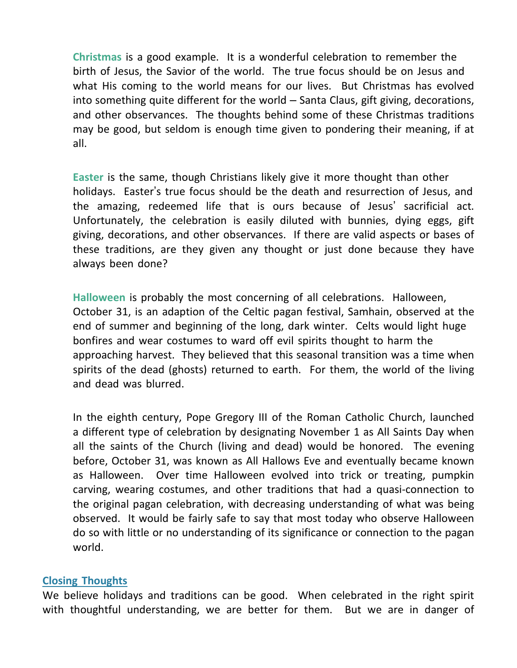**Christmas** is a good example. It is a wonderful celebration to remember the birth of Jesus, the Savior of the world. The true focus should be on Jesus and what His coming to the world means for our lives. But Christmas has evolved into something quite different for the world – Santa Claus, gift giving, decorations, and other observances. The thoughts behind some of these Christmas traditions may be good, but seldom is enough time given to pondering their meaning, if at all.

**Easter** is the same, though Christians likely give it more thought than other holidays. Easter's true focus should be the death and resurrection of Jesus, and the amazing, redeemed life that is ours because of Jesus' sacrificial act. Unfortunately, the celebration is easily diluted with bunnies, dying eggs, gift giving, decorations, and other observances. If there are valid aspects or bases of these traditions, are they given any thought or just done because they have always been done?

**Halloween** is probably the most concerning of all celebrations. Halloween, October 31, is an adaption of the Celtic pagan festival, Samhain, observed at the end of summer and beginning of the long, dark winter. Celts would light huge bonfires and wear costumes to ward off evil spirits thought to harm the approaching harvest. They believed that this seasonal transition was a time when spirits of the dead (ghosts) returned to earth. For them, the world of the living and dead was blurred.

In the eighth century, Pope Gregory III of the Roman Catholic Church, launched a different type of celebration by designating November 1 as All Saints Day when all the saints of the Church (living and dead) would be honored. The evening before, October 31, was known as All Hallows Eve and eventually became known as Halloween. Over time Halloween evolved into trick or treating, pumpkin carving, wearing costumes, and other traditions that had a quasi-connection to the original pagan celebration, with decreasing understanding of what was being observed. It would be fairly safe to say that most today who observe Halloween do so with little or no understanding of its significance or connection to the pagan world.

### **Closing Thoughts**

We believe holidays and traditions can be good. When celebrated in the right spirit with thoughtful understanding, we are better for them. But we are in danger of